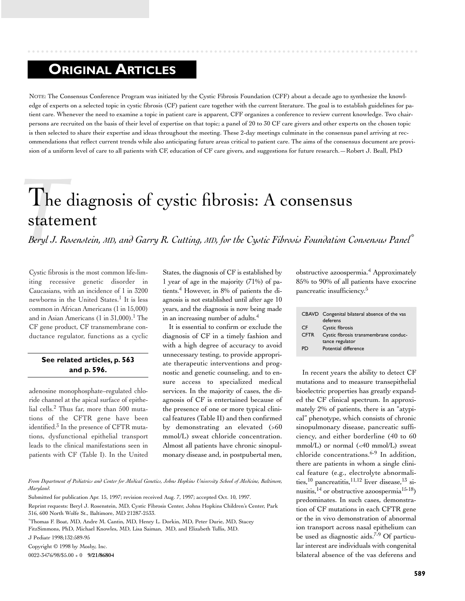## **ORIGINAL ARTICLES**

NOTE: The Consensus Conference Program was initiated by the Cystic Fibrosis Foundation (CFF) about a decade ago to synthesize the knowledge of experts on a selected topic in cystic fibrosis (CF) patient care together with the current literature. The goal is to establish guidelines for patient care. Whenever the need to examine a topic in patient care is apparent, CFF organizes a conference to review current knowledge. Two chairpersons are recruited on the basis of their level of expertise on that topic; a panel of 20 to 30 CF care givers and other experts on the chosen topic is then selected to share their expertise and ideas throughout the meeting. These 2-day meetings culminate in the consensus panel arriving at recommendations that reflect current trends while also anticipating future areas critical to patient care. The aims of the consensus document are provision of a uniform level of care to all patients with CF, education of CF care givers, and suggestions for future research.—Robert J. Beall, PhD

# The c<br>statem The diagnosis of cystic fibrosis: A consensus statement

*Beryl J. Rosenstein, MD, and Garry R. Cutting, MD, for the Cystic Fibrosis Foundation Consensus Panel\**

Cystic fibrosis is the most common life-limiting recessive genetic disorder in Caucasians, with an incidence of 1 in 3200 newborns in the United States.<sup>1</sup> It is less common in African Americans (1 in 15,000) and in Asian Americans  $(1 \text{ in } 31,000)$ .<sup>1</sup> The CF gene product, CF transmembrane conductance regulator, functions as a cyclic

#### **See related articles, p. 563 and p. 596.**

adenosine monophosphate–regulated chloride channel at the apical surface of epithelial cells.2 Thus far, more than 500 mutations of the CFTR gene have been identified. $3$  In the presence of CFTR mutations, dysfunctional epithelial transport leads to the clinical manifestations seen in patients with CF (Table I). In the United States, the diagnosis of CF is established by 1 year of age in the majority (71%) of patients.4 However, in 8% of patients the diagnosis is not established until after age 10 years, and the diagnosis is now being made in an increasing number of adults.4

It is essential to confirm or exclude the diagnosis of CF in a timely fashion and with a high degree of accuracy to avoid unnecessary testing, to provide appropriate therapeutic interventions and prognostic and genetic counseling, and to ensure access to specialized medical services. In the majority of cases, the diagnosis of CF is entertained because of the presence of one or more typical clinical features (Table II) and then confirmed by demonstrating an elevated (>60 mmol/L) sweat chloride concentration. Almost all patients have chronic sinopulmonary disease and, in postpubertal men,

*From Department of Pediatrics and Center for Medical Genetics, Johns Hopkins University School of Medicine, Baltimore, Maryland.*

Submitted for publication Apr. 15, 1997; revision received Aug. 7, 1997; accepted Oct. 10, 1997.

Reprint requests: Beryl J. Rosenstein, MD, Cystic Fibrosis Center, Johns Hopkins Children's Center, Park 316, 600 North Wolfe St., Baltimore, MD 21287-2533.

\*Thomas F. Boat, MD, Andre M. Cantin, MD, Henry L. Dorkin, MD, Peter Durie, MD, Stacey FitzSimmons, PhD, Michael Knowles, MD, Lisa Saiman, MD, and Elizabeth Tullis, MD. J Pediatr 1998;132:589-95

Copyright © 1998 by Mosby, Inc.

0022-3476/98/\$5.00 + 0 **9/21/86804**

obstructive azoospermia.<sup>4</sup> Approximately 85% to 90% of all patients have exocrine pancreatic insufficiency.5

|             | CBAVD Congenital bilateral absence of the vas<br>deferens |
|-------------|-----------------------------------------------------------|
| CF          | Cystic fibrosis                                           |
| <b>CFTR</b> | Cystic fibrosis transmembrane conduc-                     |
|             | tance regulator                                           |
| PD          | Potential difference                                      |

In recent years the ability to detect CF mutations and to measure transepithelial bioelectric properties has greatly expanded the CF clinical spectrum. In approximately 2% of patients, there is an "atypical" phenotype, which consists of chronic sinopulmonary disease, pancreatic sufficiency, and either borderline (40 to 60 mmol/L) or normal (<40 mmol/L) sweat chloride concentrations.6-9 In addition, there are patients in whom a single clinical feature (e.g., electrolyte abnormalities,<sup>10</sup> pancreatitis,<sup>11,12</sup> liver disease,<sup>13</sup> sinusitis,<sup>14</sup> or obstructive azoospermia<sup>15-18</sup>) predominates. In such cases, demonstration of CF mutations in each CFTR gene or the in vivo demonstration of abnormal ion transport across nasal epithelium can be used as diagnostic aids.7-9 Of particular interest are individuals with congenital bilateral absence of the vas deferens and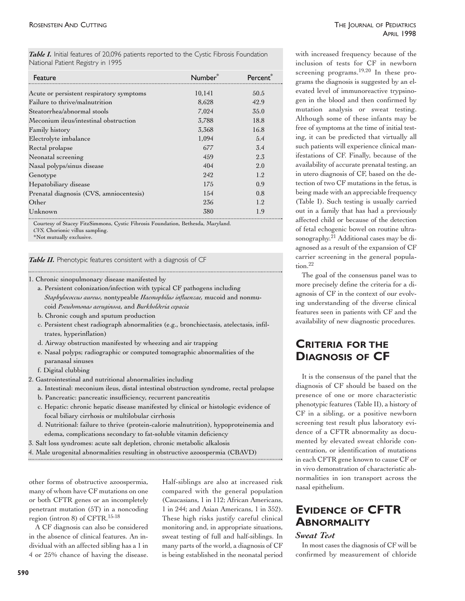**Table I.** Initial features of 20,096 patients reported to the Cystic Fibrosis Foundation National Patient Registry in 1995

| Feature                                  | Number* | Percent |
|------------------------------------------|---------|---------|
| Acute or persistent respiratory symptoms | 10,141  | 50.5    |
| Failure to thrive/malnutrition           | 8,628   | 42.9    |
| Steatorrhea/abnormal stools              | 7,024   | 35.0    |
| Meconium ileus/intestinal obstruction    | 3,788   | 18.8    |
| Family history                           | 3,368   | 16.8    |
| Electrolyte imbalance                    | 1,094   | 5.4     |
| Rectal prolapse                          | 677     | 3.4     |
| Neonatal screening                       | 459     | 2.3     |
| Nasal polyps/sinus disease               | 404     | 2.0     |
| Genotype                                 | 242     | 1.2     |
| Hepatobiliary disease                    | 175     | 0.9     |
| Prenatal diagnosis (CVS, amniocentesis)  | 154     | 0.8     |
| Other                                    | 236     | 1.2     |
| Unknown                                  | 380     | 1.9     |
|                                          |         |         |

Courtesy of Stacey FitzSimmons, Cystic Fibrosis Foundation, Bethesda, Maryland.

*CVS,* Chorionic villus sampling.

\*Not mutually exclusive.

*Table II.* Phenotypic features consistent with a diagnosis of CF

- 1. Chronic sinopulmonary disease manifested by
	- a. Persistent colonization/infection with typical CF pathogens including *Staphylococcus aureus,* nontypeable *Haemophilus influenzae,* mucoid and nonmucoid *Pseudomonas aeruginosa,* and *Burkholderia cepacia*

- b. Chronic cough and sputum production
- c. Persistent chest radiograph abnormalities (e.g., bronchiectasis, atelectasis, infiltrates, hyperinflation)
- d. Airway obstruction manifested by wheezing and air trapping
- e. Nasal polyps; radiographic or computed tomographic abnormalities of the paranasal sinuses
- f. Digital clubbing
- 2. Gastrointestinal and nutritional abnormalities including
	- a. Intestinal: meconium ileus, distal intestinal obstruction syndrome, rectal prolapse
	- b. Pancreatic: pancreatic insufficiency, recurrent pancreatitis
	- c. Hepatic: chronic hepatic disease manifested by clinical or histologic evidence of focal biliary cirrhosis or multilobular cirrhosis
	- d. Nutritional: failure to thrive (protein-calorie malnutrition), hypoproteinemia and edema, complications secondary to fat-soluble vitamin deficiency
- 3. Salt loss syndromes: acute salt depletion, chronic metabolic alkalosis

4. Male urogenital abnormalities resulting in obstructive azoospermia (CBAVD)

other forms of obstructive azoospermia, many of whom have CF mutations on one or both CFTR genes or an incompletely penetrant mutation (5T) in a noncoding region (intron 8) of CFTR.15-18

A CF diagnosis can also be considered in the absence of clinical features. An individual with an affected sibling has a 1 in 4 or 25% chance of having the disease.

Half-siblings are also at increased risk compared with the general population (Caucasians, 1 in 112; African Americans, 1 in 244; and Asian Americans, 1 in 352). These high risks justify careful clinical monitoring and, in appropriate situations, sweat testing of full and half-siblings. In many parts of the world, a diagnosis of CF is being established in the neonatal period

with increased frequency because of the inclusion of tests for CF in newborn screening programs.19,20 In these programs the diagnosis is suggested by an elevated level of immunoreactive trypsinogen in the blood and then confirmed by mutation analysis or sweat testing. Although some of these infants may be free of symptoms at the time of initial testing, it can be predicted that virtually all such patients will experience clinical manifestations of CF. Finally, because of the availability of accurate prenatal testing, an in utero diagnosis of CF, based on the detection of two CF mutations in the fetus, is being made with an appreciable frequency (Table I). Such testing is usually carried out in a family that has had a previously affected child or because of the detection of fetal echogenic bowel on routine ultrasonography.<sup>21</sup> Additional cases may be diagnosed as a result of the expansion of CF carrier screening in the general population.22

The goal of the consensus panel was to more precisely define the criteria for a diagnosis of CF in the context of our evolving understanding of the diverse clinical features seen in patients with CF and the availability of new diagnostic procedures.

### **CRITERIA FOR THE DIAGNOSIS OF CF**

It is the consensus of the panel that the diagnosis of CF should be based on the presence of one or more characteristic phenotypic features (Table II), a history of CF in a sibling, or a positive newborn screening test result plus laboratory evidence of a CFTR abnormality as documented by elevated sweat chloride concentration, or identification of mutations in each CFTR gene known to cause CF or in vivo demonstration of characteristic abnormalities in ion transport across the nasal epithelium.

### **EVIDENCE OF CFTR ABNORMALITY**

#### *Sweat Test*

In most cases the diagnosis of CF will be confirmed by measurement of chloride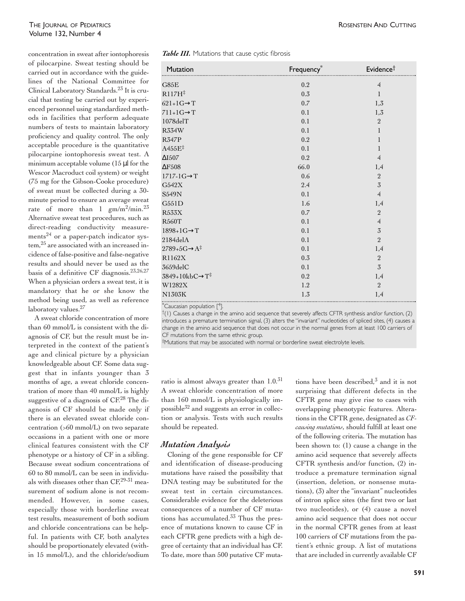concentration in sweat after iontophoresis of pilocarpine. Sweat testing should be carried out in accordance with the guidelines of the National Committee for Clinical Laboratory Standards.23 It is crucial that testing be carried out by experienced personnel using standardized methods in facilities that perform adequate numbers of tests to maintain laboratory proficiency and quality control. The only acceptable procedure is the quantitative pilocarpine iontophoresis sweat test. A minimum acceptable volume (15 µl for the Wescor Macroduct coil system) or weight (75 mg for the Gibson-Cooke procedure) of sweat must be collected during a 30 minute period to ensure an average sweat rate of more than 1  $gm/m^2/min^{23}$ Alternative sweat test procedures, such as direct-reading conductivity measurements<sup>24</sup> or a paper-patch indicator system,25 are associated with an increased incidence of false-positive and false-negative results and should never be used as the basis of a definitive CF diagnosis.23,26,27 When a physician orders a sweat test, it is mandatory that he or she know the method being used, as well as reference laboratory values.27

A sweat chloride concentration of more than 60 mmol/L is consistent with the diagnosis of CF, but the result must be interpreted in the context of the patient's age and clinical picture by a physician knowledgeable about CF. Some data suggest that in infants younger than 3 months of age, a sweat chloride concentration of more than 40 mmol/L is highly suggestive of a diagnosis of CF.<sup>28</sup> The diagnosis of CF should be made only if there is an elevated sweat chloride concentration (>60 mmol/L) on two separate occasions in a patient with one or more clinical features consistent with the CF phenotype or a history of CF in a sibling. Because sweat sodium concentrations of 60 to 80 mmol/L can be seen in individuals with diseases other than  $CF^{29-31}$  measurement of sodium alone is not recommended. However, in some cases, especially those with borderline sweat test results, measurement of both sodium and chloride concentrations can be helpful. In patients with CF, both analytes should be proportionately elevated (within 15 mmol/L), and the chloride/sodium

|  |  | Table III. Mutations that cause cystic fibrosis |  |  |
|--|--|-------------------------------------------------|--|--|
|--|--|-------------------------------------------------|--|--|

| Mutation                                                                                                                                    | Frequency* | Evidence <sup>t</sup> |
|---------------------------------------------------------------------------------------------------------------------------------------------|------------|-----------------------|
| G85E                                                                                                                                        | 0.2        | $\overline{4}$        |
| R117H <sup>‡</sup>                                                                                                                          | 0.3        | $\mathbf{1}$          |
| $621+1G \rightarrow T$                                                                                                                      | 0.7        | 1,3                   |
| $711+1G \rightarrow T$                                                                                                                      | 0.1        | 1,3                   |
| 1078delT                                                                                                                                    | 0.1        | $\sqrt{2}$            |
| <b>R334W</b>                                                                                                                                | 0.1        | $\mathbf{1}$          |
| <b>R347P</b>                                                                                                                                | 0.2        | $\mathbf{1}$          |
| $A455E^{\ddagger}$                                                                                                                          | 0.1        | $\mathbf{1}$          |
| $\Delta$ I507                                                                                                                               | 0.2        | $\overline{4}$        |
| $\Delta$ F508                                                                                                                               | 66.0       | 1,4                   |
| $1717 - 1G \rightarrow T$                                                                                                                   | 0.6        | $\overline{2}$        |
| G542X                                                                                                                                       | 2.4        | $\overline{3}$        |
| S549N                                                                                                                                       | 0.1        | $\overline{4}$        |
| G551D                                                                                                                                       | 1.6        | 1,4                   |
| <b>R533X</b>                                                                                                                                | 0.7        | $\sqrt{2}$            |
| <b>R560T</b>                                                                                                                                | 0.1        | $\overline{4}$        |
| $1898+1G\rightarrow T$                                                                                                                      | 0.1        | $\overline{3}$        |
| 2184delA                                                                                                                                    | 0.1        | $\overline{2}$        |
| $2789+5G \rightarrow A^{\ddagger}$                                                                                                          | 0.1        | 1,4                   |
| R1162X                                                                                                                                      | 0.3        | $\overline{2}$        |
| 3659delC                                                                                                                                    | 0.1        | 3                     |
| 3849+10kbC→T <sup>‡</sup>                                                                                                                   | 0.2        | 1,4                   |
| W1282X                                                                                                                                      | 1.2        | $\overline{2}$        |
| N1303K<br>$\mathbf{r}$ $\mathbf{r}$ $\mathbf{r}$ $\mathbf{r}$ $\mathbf{r}$ $\mathbf{r}$ $\mathbf{r}$ $\mathbf{r}$ $\mathbf{r}$ $\mathbf{r}$ | 1.3        | 1,4                   |

\*Caucasian population [4].

†(1) Causes a change in the amino acid sequence that severely affects CFTR synthesis and/or function, (2) introduces a premature termination signal, (3) alters the "invariant" nucleotides of spliced sites, (4) causes a change in the amino acid sequence that does not occur in the normal genes from at least 100 carriers of CF mutations from the same ethnic group.

‡Mutations that may be associated with normal or borderline sweat electrolyte levels.

ratio is almost always greater than 1.0.<sup>31</sup> A sweat chloride concentration of more than 160 mmol/L is physiologically impossible $32$  and suggests an error in collection or analysis. Tests with such results should be repeated.

### *Mutation Analysis*

Cloning of the gene responsible for CF and identification of disease-producing mutations have raised the possibility that DNA testing may be substituted for the sweat test in certain circumstances. Considerable evidence for the deleterious consequences of a number of CF mutations has accumulated. $35$  Thus the presence of mutations known to cause CF in each CFTR gene predicts with a high degree of certainty that an individual has CF. To date, more than 500 putative CF muta-

tions have been described, $3$  and it is not surprising that different defects in the CFTR gene may give rise to cases with overlapping phenotypic features. Alterations in the CFTR gene, designated as *CFcausing mutations*, should fulfill at least one of the following criteria. The mutation has been shown to: (1) cause a change in the amino acid sequence that severely affects CFTR synthesis and/or function, (2) introduce a premature termination signal (insertion, deletion, or nonsense mutations), (3) alter the "invariant" nucleotides of intron splice sites (the first two or last two nucleotides), or (4) cause a novel amino acid sequence that does not occur in the normal CFTR genes from at least 100 carriers of CF mutations from the patient's ethnic group. A list of mutations that are included in currently available CF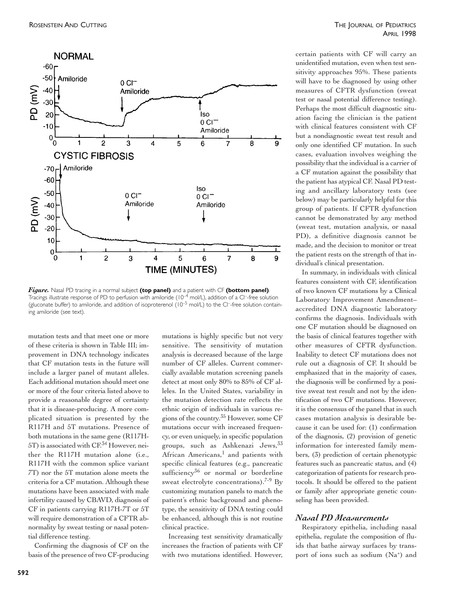

*Figure.* Nasal PD tracing in a normal subject **(top panel)** and a patient with CF **(bottom panel)**. Tracings illustrate response of PD to perfusion with amiloride (10<sup>-4</sup> mol/L), addition of a Cl<sup>-</sup>-free solution (gluconate buffer) to amiloride, and addition of isoproterenol (10<sup>-5</sup> mol/L) to the Cl<sup>-</sup>-free solution containing amiloride (see text).

mutation tests and that meet one or more of these criteria is shown in Table III; improvement in DNA technology indicates that CF mutation tests in the future will include a larger panel of mutant alleles. Each additional mutation should meet one or more of the four criteria listed above to provide a reasonable degree of certainty that it is disease-producing. A more complicated situation is presented by the R117H and 5T mutations. Presence of both mutations in the same gene (R117H-5T) is associated with CF.<sup>34</sup> However, neither the R117H mutation alone (i.e., R117H with the common splice variant 7T) nor the 5T mutation alone meets the criteria for a CF mutation. Although these mutations have been associated with male infertility caused by CBAVD, diagnosis of CF in patients carrying R117H-7T or 5T will require demonstration of a CFTR abnormality by sweat testing or nasal potential difference testing.

Confirming the diagnosis of CF on the basis of the presence of two CF-producing

**592**

mutations is highly specific but not very sensitive. The sensitivity of mutation analysis is decreased because of the large number of CF alleles. Current commercially available mutation screening panels detect at most only 80% to 85% of CF alleles. In the United States, variability in the mutation detection rate reflects the ethnic origin of individuals in various regions of the country.35 However, some CF mutations occur with increased frequency, or even uniquely, in specific population groups, such as Ashkenazi Jews,33 African Americans,<sup>1</sup> and patients with specific clinical features (e.g., pancreatic sufficiency<sup>36</sup> or normal or borderline sweat electrolyte concentrations).<sup>7-9</sup> By customizing mutation panels to match the patient's ethnic background and phenotype, the sensitivity of DNA testing could be enhanced, although this is not routine clinical practice.

Increasing test sensitivity dramatically increases the fraction of patients with CF with two mutations identified. However,

certain patients with CF will carry an unidentified mutation, even when test sensitivity approaches 95%. These patients will have to be diagnosed by using other measures of CFTR dysfunction (sweat test or nasal potential difference testing). Perhaps the most difficult diagnostic situation facing the clinician is the patient with clinical features consistent with CF but a nondiagnostic sweat test result and only one identified CF mutation. In such cases, evaluation involves weighing the possibility that the individual is a carrier of a CF mutation against the possibility that the patient has atypical CF. Nasal PD testing and ancillary laboratory tests (see below) may be particularly helpful for this group of patients. If CFTR dysfunction cannot be demonstrated by any method (sweat test, mutation analysis, or nasal PD), a definitive diagnosis cannot be made, and the decision to monitor or treat the patient rests on the strength of that individual's clinical presentation.

In summary, in individuals with clinical features consistent with CF, identification of two known CF mutations by a Clinical Laboratory Improvement Amendment– accredited DNA diagnostic laboratory confirms the diagnosis. Individuals with one CF mutation should be diagnosed on the basis of clinical features together with other measures of CFTR dysfunction. Inability to detect CF mutations does not rule out a diagnosis of CF. It should be emphasized that in the majority of cases, the diagnosis will be confirmed by a positive sweat test result and not by the identification of two CF mutations. However, it is the consensus of the panel that in such cases mutation analysis is desirable because it can be used for: (1) confirmation of the diagnosis, (2) provision of genetic information for interested family members, (3) prediction of certain phenotypic features such as pancreatic status, and (4) categorization of patients for research protocols. It should be offered to the patient or family after appropriate genetic counseling has been provided.

#### *Nasal PD Measurements*

Respiratory epithelia, including nasal epithelia, regulate the composition of fluids that bathe airway surfaces by transport of ions such as sodium (Na<sup>+</sup>) and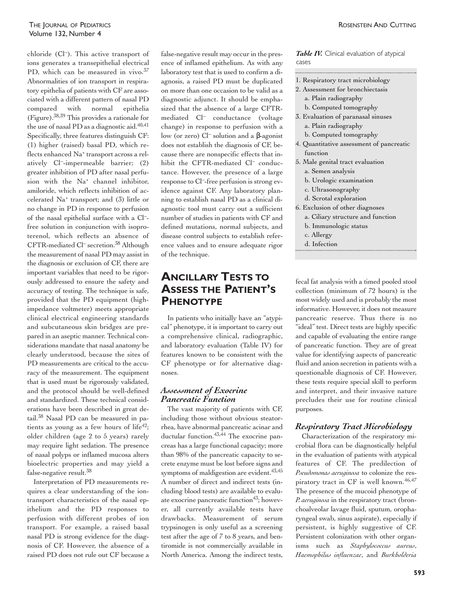chloride (Cl–). This active transport of ions generates a transepithelial electrical PD, which can be measured in vivo.<sup>37</sup> Abnormalities of ion transport in respiratory epithelia of patients with CF are associated with a different pattern of nasal PD compared with normal epithelia (Figure).38,39 This provides a rationale for the use of nasal PD as a diagnostic aid.<sup>40,41</sup> Specifically, three features distinguish CF: (1) higher (raised) basal PD, which reflects enhanced Na<sup>+</sup> transport across a relatively Cl–-impermeable barrier; (2) greater inhibition of PD after nasal perfusion with the Na<sup>+</sup> channel inhibitor, amiloride, which reflects inhibition of accelerated Na+ transport; and (3) little or no change in PD in response to perfusion of the nasal epithelial surface with a Cl– free solution in conjunction with isoproterenol, which reflects an absence of CFTR-mediated Cl<sup>-</sup> secretion.<sup>38</sup> Although the measurement of nasal PD may assist in the diagnosis or exclusion of CF, there are important variables that need to be rigorously addressed to ensure the safety and accuracy of testing. The technique is safe, provided that the PD equipment (highimpedance voltmeter) meets appropriate clinical electrical engineering standards and subcutaneous skin bridges are prepared in an aseptic manner. Technical considerations mandate that nasal anatomy be clearly understood, because the sites of PD measurements are critical to the accuracy of the measurement. The equipment that is used must be rigorously validated, and the protocol should be well-defined and standardized. These technical considerations have been described in great detail.38 Nasal PD can be measured in patients as young as a few hours of life $42$ ; older children (age 2 to 5 years) rarely may require light sedation. The presence of nasal polyps or inflamed mucosa alters bioelectric properties and may yield a false-negative result.<sup>38</sup>

Interpretation of PD measurements requires a clear understanding of the iontransport characteristics of the nasal epithelium and the PD responses to perfusion with different probes of ion transport. For example, a raised basal nasal PD is strong evidence for the diagnosis of CF. However, the absence of a raised PD does not rule out CF because a

false-negative result may occur in the presence of inflamed epithelium. As with any laboratory test that is used to confirm a diagnosis, a raised PD must be duplicated on more than one occasion to be valid as a diagnostic adjunct. It should be emphasized that the absence of a large CFTRmediated Cl– conductance (voltage change) in response to perfusion with a low (or zero) Cl<sup>–</sup> solution and a β-agonist does not establish the diagnosis of CF, because there are nonspecific effects that inhibit the CFTR-mediated Cl– conductance. However, the presence of a large response to Cl–-free perfusion is strong evidence against CF. Any laboratory planning to establish nasal PD as a clinical diagnostic tool must carry out a sufficient number of studies in patients with CF and defined mutations, normal subjects, and disease control subjects to establish reference values and to ensure adequate rigor of the technique.

### **ANCILLARY TESTS TO ASSESS THE PATIENT'S PHENOTYPE**

In patients who initially have an "atypical" phenotype, it is important to carry out a comprehensive clinical, radiographic, and laboratory evaluation (Table IV) for features known to be consistent with the CF phenotype or for alternative diagnoses.

#### *Assessment of Exocrine Pancreatic Function*

The vast majority of patients with CF, including those without obvious steatorrhea, have abnormal pancreatic acinar and ductular function.<sup>43,44</sup> The exocrine pancreas has a large functional capacity; more than 98% of the pancreatic capacity to secrete enzyme must be lost before signs and symptoms of maldigestion are evident.<sup>43,45</sup> A number of direct and indirect tests (including blood tests) are available to evaluate exocrine pancreatic function<sup>43</sup>; however, all currently available tests have drawbacks. Measurement of serum trypsinogen is only useful as a screening test after the age of 7 to 8 years, and bentiromide is not commercially available in North America. Among the indirect tests,

**Table IV.** Clinical evaluation of atypical cases

| 1. Respiratory tract microbiology        |
|------------------------------------------|
| 2. Assessment for bronchiectasis         |
| a. Plain radiography                     |
| b. Computed tomography                   |
| 3. Evaluation of paranasal sinuses       |
| a. Plain radiography                     |
| b. Computed tomography                   |
| 4. Quantitative assessment of pancreatic |
| function                                 |
| 5. Male genital tract evaluation         |
| a. Semen analysis                        |
| b. Urologic examination                  |
| c. Ultrasonography                       |
| d. Scrotal exploration                   |
| 6. Exclusion of other diagnoses          |
| a. Ciliary structure and function        |
| b. Immunologic status                    |
| c. Allergy                               |

d. Infection

fecal fat analysis with a timed pooled stool collection (minimum of 72 hours) is the most widely used and is probably the most informative. However, it does not measure pancreatic reserve. Thus there is no "ideal" test. Direct tests are highly specific and capable of evaluating the entire range of pancreatic function. They are of great value for identifying aspects of pancreatic fluid and anion secretion in patients with a questionable diagnosis of CF. However, these tests require special skill to perform and interpret, and their invasive nature precludes their use for routine clinical purposes.

### *Respiratory Tract Microbiology*

Characterization of the respiratory microbial flora can be diagnostically helpful in the evaluation of patients with atypical features of CF. The predilection of *Pseudomonas aeruginosa* to colonize the respiratory tract in CF is well known.<sup>46,47</sup> The presence of the mucoid phenotype of *P. aeruginosa* in the respiratory tract (bronchoalveolar lavage fluid, sputum, oropharyngeal swab, sinus aspirate), especially if persistent, is highly suggestive of CF. Persistent colonization with other organisms such as *Staphylococcus aureus*, *Haemophilus influenzae*, and *Burkholderia*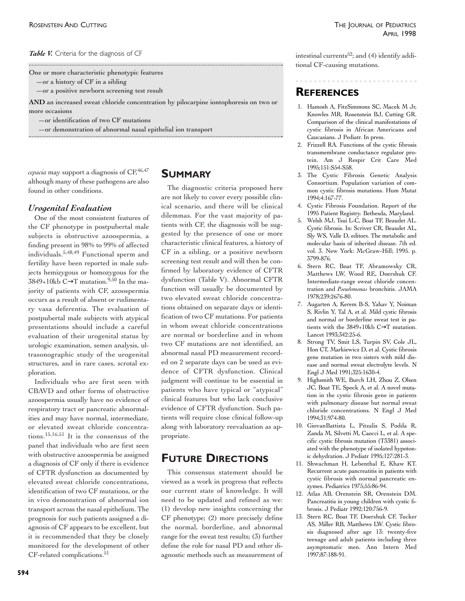| One or more characteristic phenotypic features                                       |
|--------------------------------------------------------------------------------------|
| $-$ or a history of CF in a sibling                                                  |
| $-$ or a positive newborn screening test result                                      |
| AND an increased sweat chloride concentration by pilocarpine iontophoresis on two or |
| more occasions                                                                       |

—or identification of two CF mutations

—or demonstration of abnormal nasal epithelial ion transport

*cepacia* may support a diagnosis of CF,<sup>46,47</sup> although many of these pathogens are also found in other conditions.

### *Urogenital Evaluation*

One of the most consistent features of the CF phenotype in postpubertal male subjects is obstructive azoospermia, a finding present in 98% to 99% of affected individuals.5,48,49 Functional sperm and fertility have been reported in male subjects hemizygous or homozygous for the 3849+10kb C $\rightarrow$ T mutation.<sup>9,50</sup> In the majority of patients with CF, azoospermia occurs as a result of absent or rudimentary vasa deferentia. The evaluation of postpubertal male subjects with atypical presentations should include a careful evaluation of their urogenital status by urologic examination, semen analysis, ultrasonographic study of the urogenital structures, and in rare cases, scrotal exploration.

Individuals who are first seen with CBAVD and other forms of obstructive azoospermia usually have no evidence of respiratory tract or pancreatic abnormalities and may have normal, intermediate, or elevated sweat chloride concentrations.15,16,51 It is the consensus of the panel that individuals who are first seen with obstructive azoospermia be assigned a diagnosis of CF only if there is evidence of CFTR dysfunction as documented by elevated sweat chloride concentrations, identification of two CF mutations, or the in vivo demonstration of abnormal ion transport across the nasal epithelium. The prognosis for such patients assigned a diagnosis of CF appears to be excellent, but it is recommended that they be closely monitored for the development of other CF-related complications.<sup>51</sup>

### **SUMMARY**

The diagnostic criteria proposed here are not likely to cover every possible clinical scenario, and there will be clinical dilemmas. For the vast majority of patients with CF, the diagnosis will be suggested by the presence of one or more characteristic clinical features, a history of CF in a sibling, or a positive newborn screening test result and will then be confirmed by laboratory evidence of CFTR dysfunction (Table V). Abnormal CFTR function will usually be documented by two elevated sweat chloride concentrations obtained on separate days or identification of two CF mutations. For patients in whom sweat chloride concentrations are normal or borderline and in whom two CF mutations are not identified, an abnormal nasal PD measurement recorded on 2 separate days can be used as evidence of CFTR dysfunction. Clinical judgment will continue to be essential in patients who have typical or "atypical" clinical features but who lack conclusive evidence of CFTR dysfunction. Such patients will require close clinical follow-up along with laboratory reevaluation as appropriate.

### **FUTURE DIRECTIONS**

This consensus statement should be viewed as a work in progress that reflects our current state of knowledge. It will need to be updated and refined as we: (1) develop new insights concerning the CF phenotype; (2) more precisely define the normal, borderline, and abnormal range for the sweat test results; (3) further define the role for nasal PD and other diagnostic methods such as measurement of

intestinal currents<sup>52</sup>; and (4) identify additional CF-causing mutations.

### **REFERENCES**

- 1. Hamosh A, FitzSimmons SC, Macek M Jr, Knowles MR, Rosenstein BJ, Cutting GR. Comparison of the clinical manifestations of cystic fibrosis in African Americans and Caucasians. J Pediatr. In press.
- 2. Frizzell RA. Functions of the cystic fibrosis transmembrane conductance regulator protein. Am J Respir Crit Care Med 1995;151:S54-S58.
- 3. The Cystic Fibrosis Genetic Analysis Consortium. Population variation of common cystic fibrosis mutations. Hum Mutat 1994;4:167-77.
- 4. Cystic Fibrosis Foundation. Report of the 1995 Patient Registry. Bethesda, Maryland.
- 5. Welsh MJ, Tsui L-C, Boat TF, Beaudet AL. Cystic fibrosis. In: Scriver CR, Beaudet AL, Sly WS, Valle D, editors. The metabolic and molecular basis of inherited disease. 7th ed. vol. 3. New York: McGraw-Hill; 1995. p. 3799-876.
- 6. Stern RC, Boat TF, Abramowsky CR, Matthews LW, Wood RE, Doershuk CF. Intermediate-range sweat chloride concentration and *Pseudomonas* bronchitis. JAMA 1978;239:2676-80.
- 7. Augarten A, Kerem B-S, Yahav Y, Noiman S, Rivlin Y, Tal A, et al. Mild cystic fibrosis and normal or borderline sweat test in patients with the 3849+10kb C→T mutation. Lancet 1993;342:25-6.
- 8. Strong TV, Smit LS, Turpin SV, Cole JL, Hon CT, Markiewicz D, et al. Cystic fibrosis gene mutation in two sisters with mild disease and normal sweat electrolyte levels. N Engl J Med 1991;325:1630-4.
- 9. Highsmith WE, Burch LH, Zhou Z, Olsen JC, Boat TE, Spock A, et al. A novel mutation in the cystic fibrosis gene in patients with pulmonary disease but normal sweat chloride concentrations. N Engl J Med 1994;31:974-80.
- 10. GiovanBattista L, Pitzalis S, Podda R, Zanda M, Silvetti M, Caocci L, et al. A specific cystic fibrosis mutation (T3381) associated with the phenotype of isolated hypotonic dehydration. J Pediatr 1995;127:281-3.
- 11. Shwachman H, Lebenthal E, Khaw KT. Recurrent acute pancreatitis in patients with cystic fibrosis with normal pancreatic enzymes. Pediatrics 1975;55:86-94.
- 12. Atlas AB, Orenstein SR, Orenstein DM. Pancreatitis in young children with cystic fibrosis. J Pediatr 1992;120:756-9.
- 13. Stern RC, Boat TF, Doershuk CF, Tucker AS, Miller RB, Matthews LW. Cystic fibrosis diagnosed after age 13: twenty-five teenage and adult patients including three asymptomatic men. Ann Intern Med 1997;87:188-91.